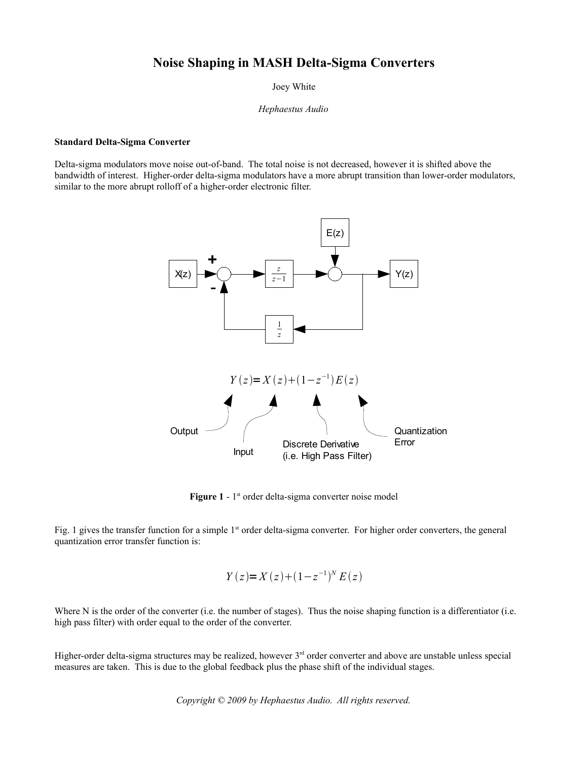# **Noise Shaping in MASH Delta-Sigma Converters**

Joey White

*Hephaestus Audio*

## **Standard Delta-Sigma Converter**

Delta-sigma modulators move noise out-of-band. The total noise is not decreased, however it is shifted above the bandwidth of interest. Higher-order delta-sigma modulators have a more abrupt transition than lower-order modulators, similar to the more abrupt rolloff of a higher-order electronic filter.



Figure 1 - 1<sup>st</sup> order delta-sigma converter noise model

Fig. 1 gives the transfer function for a simple  $1<sup>st</sup>$  order delta-sigma converter. For higher order converters, the general quantization error transfer function is:

$$
Y(z)=X(z)+(1-z^{-1})^N E(z)
$$

Where N is the order of the converter (i.e. the number of stages). Thus the noise shaping function is a differentiator (i.e. high pass filter) with order equal to the order of the converter.

Higher-order delta-sigma structures may be realized, however  $3<sup>rd</sup>$  order converter and above are unstable unless special measures are taken. This is due to the global feedback plus the phase shift of the individual stages.

*Copyright © 2009 by Hephaestus Audio. All rights reserved.*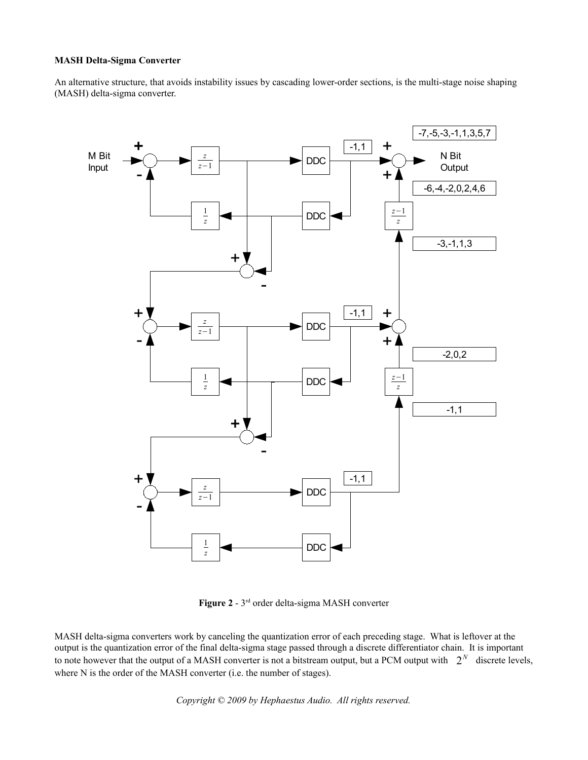## **MASH Delta-Sigma Converter**

An alternative structure, that avoids instability issues by cascading lower-order sections, is the multi-stage noise shaping (MASH) delta-sigma converter.



**Figure 2** - 3rd order delta-sigma MASH converter

MASH delta-sigma converters work by canceling the quantization error of each preceding stage. What is leftover at the output is the quantization error of the final delta-sigma stage passed through a discrete differentiator chain. It is important to note however that the output of a MASH converter is not a bitstream output, but a PCM output with  $2^N$  discrete levels, where N is the order of the MASH converter (i.e. the number of stages).

*Copyright © 2009 by Hephaestus Audio. All rights reserved.*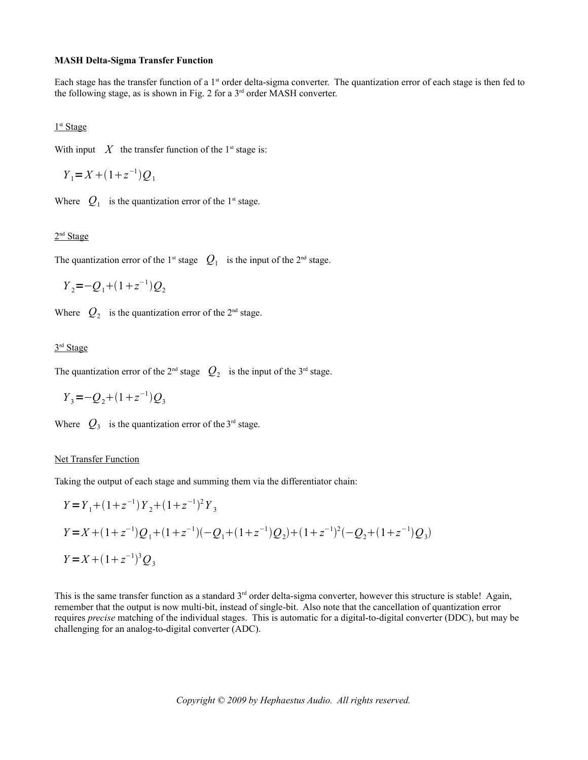#### **MASH Delta-Sigma Transfer Function**

Each stage has the transfer function of a 1<sup>st</sup> order delta-sigma converter. The quantization error of each stage is then fed to the following stage, as is shown in Fig. 2 for a  $3<sup>rd</sup>$  order MASH converter.

1<sup>st</sup> Stage

With input  $\overline{X}$  the transfer function of the 1<sup>st</sup> stage is:

$$
Y_1 = X + (1 + z^{-1})Q_1
$$

Where  $Q_1$  is the quantization error of the 1<sup>st</sup> stage.

#### 2<sup>nd</sup> Stage

The quantization error of the 1<sup>st</sup> stage  $Q_1$  is the input of the 2<sup>nd</sup> stage.

 $Y_2 = -Q_1 + (1 + z^{-1})Q_2$ 

Where  $Q_2$  is the quantization error of the 2<sup>nd</sup> stage.

### 3<sup>rd</sup> Stage

The quantization error of the 2<sup>nd</sup> stage  $Q_2$  is the input of the 3<sup>rd</sup> stage.

$$
Y_3 = -Q_2 + (1 + z^{-1})Q_3
$$

Where  $Q_3$  is the quantization error of the 3<sup>rd</sup> stage.

### Net Transfer Function

Taking the output of each stage and summing them via the differentiator chain:

$$
Y = Y_1 + (1 + z^{-1})Y_2 + (1 + z^{-1})^2Y_3
$$
  
\n
$$
Y = X + (1 + z^{-1})Q_1 + (1 + z^{-1})(-Q_1 + (1 + z^{-1})Q_2) + (1 + z^{-1})^2(-Q_2 + (1 + z^{-1})Q_3)
$$
  
\n
$$
Y = X + (1 + z^{-1})^3Q_3
$$

This is the same transfer function as a standard  $3<sup>rd</sup>$  order delta-sigma converter, however this structure is stable! Again, remember that the output is now multi-bit, instead of single-bit. Also note that the cancellation of quantization error requires *precise* matching of the individual stages. This is automatic for a digital-to-digital converter (DDC), but may be challenging for an analog-to-digital converter (ADC).